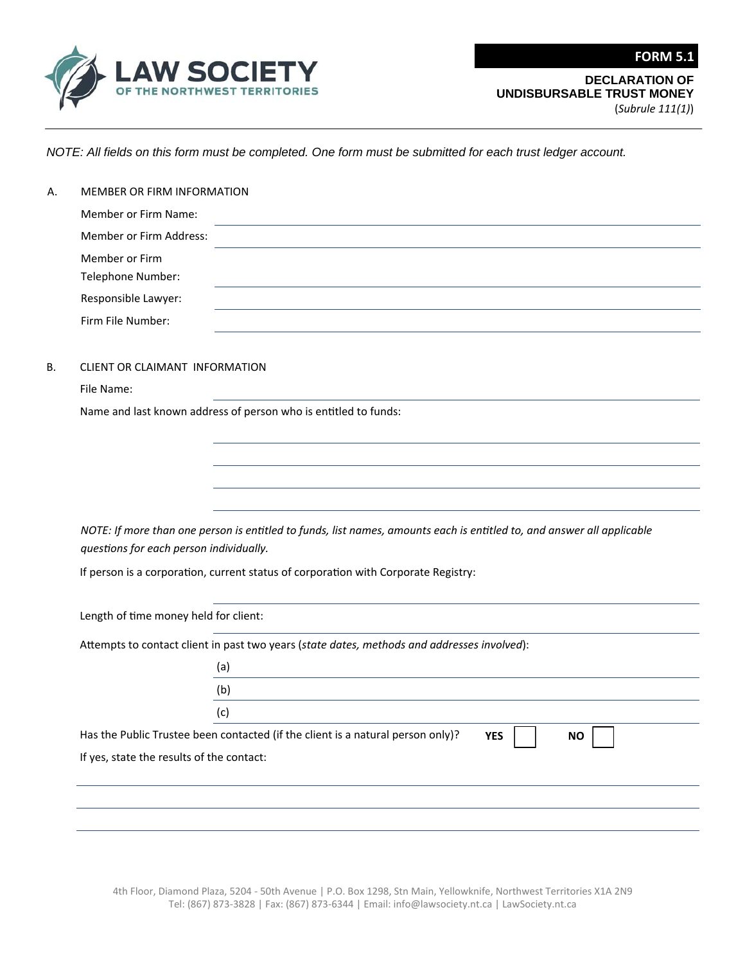

(*Subrule 111(1)*)

**FORM 5.1**

*NOTE: All fields on this form must be completed. One form must be submitted for each trust ledger account.*

| Member or Firm Name:<br>Member or Firm Address:<br>Member or Firm<br>Telephone Number:<br>Responsible Lawyer:<br>Firm File Number:<br>CLIENT OR CLAIMANT INFORMATION<br>File Name: |                                                                                                                        |
|------------------------------------------------------------------------------------------------------------------------------------------------------------------------------------|------------------------------------------------------------------------------------------------------------------------|
|                                                                                                                                                                                    |                                                                                                                        |
|                                                                                                                                                                                    |                                                                                                                        |
|                                                                                                                                                                                    |                                                                                                                        |
|                                                                                                                                                                                    |                                                                                                                        |
|                                                                                                                                                                                    |                                                                                                                        |
|                                                                                                                                                                                    |                                                                                                                        |
|                                                                                                                                                                                    |                                                                                                                        |
|                                                                                                                                                                                    |                                                                                                                        |
|                                                                                                                                                                                    | Name and last known address of person who is entitled to funds:                                                        |
|                                                                                                                                                                                    |                                                                                                                        |
|                                                                                                                                                                                    |                                                                                                                        |
|                                                                                                                                                                                    |                                                                                                                        |
|                                                                                                                                                                                    |                                                                                                                        |
|                                                                                                                                                                                    |                                                                                                                        |
|                                                                                                                                                                                    | NOTE: If more than one person is entitled to funds, list names, amounts each is entitled to, and answer all applicable |
| questions for each person individually.                                                                                                                                            |                                                                                                                        |
|                                                                                                                                                                                    | If person is a corporation, current status of corporation with Corporate Registry:                                     |
|                                                                                                                                                                                    |                                                                                                                        |
| Length of time money held for client:                                                                                                                                              |                                                                                                                        |
|                                                                                                                                                                                    | Attempts to contact client in past two years (state dates, methods and addresses involved):                            |
|                                                                                                                                                                                    | (a)<br>the control of the control of the control of the control of the control of                                      |
|                                                                                                                                                                                    | (b)                                                                                                                    |
|                                                                                                                                                                                    | (c)                                                                                                                    |
|                                                                                                                                                                                    | $\mathbf{r}$<br>$\Box$                                                                                                 |
|                                                                                                                                                                                    | Has the Public Trustee been contacted (if the client is a natural person only)?<br><b>YES</b><br><b>NO</b>             |
|                                                                                                                                                                                    |                                                                                                                        |
| If yes, state the results of the contact:                                                                                                                                          |                                                                                                                        |
|                                                                                                                                                                                    |                                                                                                                        |

4th Floor, Diamond Plaza, 5204 ‐ 50th Avenue | P.O. Box 1298, Stn Main, Yellowknife, Northwest Territories X1A 2N9 Tel: (867) 873‐3828 | Fax: (867) 873‐6344 | Email: info@lawsociety.nt.ca | LawSociety.nt.ca